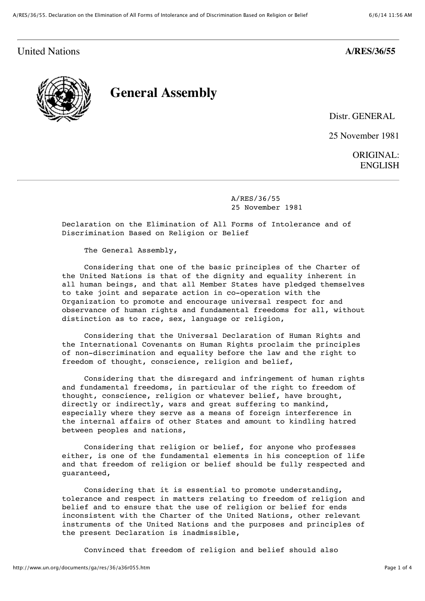# United Nations **A/RES/36/55**



**General Assembly**

Distr. GENERAL

25 November 1981

ORIGINAL: ENGLISH

 A/RES/36/55 25 November 1981

 Declaration on the Elimination of All Forms of Intolerance and of Discrimination Based on Religion or Belief

The General Assembly,

 Considering that one of the basic principles of the Charter of the United Nations is that of the dignity and equality inherent in all human beings, and that all Member States have pledged themselves to take joint and separate action in co-operation with the Organization to promote and encourage universal respect for and observance of human rights and fundamental freedoms for all, without distinction as to race, sex, language or religion,

 Considering that the Universal Declaration of Human Rights and the International Covenants on Human Rights proclaim the principles of non-discrimination and equality before the law and the right to freedom of thought, conscience, religion and belief,

 Considering that the disregard and infringement of human rights and fundamental freedoms, in particular of the right to freedom of thought, conscience, religion or whatever belief, have brought, directly or indirectly, wars and great suffering to mankind, especially where they serve as a means of foreign interference in the internal affairs of other States and amount to kindling hatred between peoples and nations,

 Considering that religion or belief, for anyone who professes either, is one of the fundamental elements in his conception of life and that freedom of religion or belief should be fully respected and guaranteed,

 Considering that it is essential to promote understanding, tolerance and respect in matters relating to freedom of religion and belief and to ensure that the use of religion or belief for ends inconsistent with the Charter of the United Nations, other relevant instruments of the United Nations and the purposes and principles of the present Declaration is inadmissible,

Convinced that freedom of religion and belief should also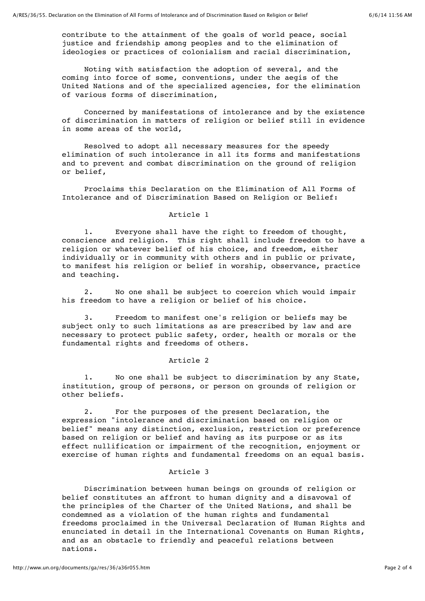contribute to the attainment of the goals of world peace, social justice and friendship among peoples and to the elimination of ideologies or practices of colonialism and racial discrimination,

 Noting with satisfaction the adoption of several, and the coming into force of some, conventions, under the aegis of the United Nations and of the specialized agencies, for the elimination of various forms of discrimination,

 Concerned by manifestations of intolerance and by the existence of discrimination in matters of religion or belief still in evidence in some areas of the world,

 Resolved to adopt all necessary measures for the speedy elimination of such intolerance in all its forms and manifestations and to prevent and combat discrimination on the ground of religion or belief,

 Proclaims this Declaration on the Elimination of All Forms of Intolerance and of Discrimination Based on Religion or Belief:

## Article 1

 1. Everyone shall have the right to freedom of thought, conscience and religion. This right shall include freedom to have a religion or whatever belief of his choice, and freedom, either individually or in community with others and in public or private, to manifest his religion or belief in worship, observance, practice and teaching.

 2. No one shall be subject to coercion which would impair his freedom to have a religion or belief of his choice.

 3. Freedom to manifest one's religion or beliefs may be subject only to such limitations as are prescribed by law and are necessary to protect public safety, order, health or morals or the fundamental rights and freedoms of others.

#### Article 2

 1. No one shall be subject to discrimination by any State, institution, group of persons, or person on grounds of religion or other beliefs.

 2. For the purposes of the present Declaration, the expression "intolerance and discrimination based on religion or belief" means any distinction, exclusion, restriction or preference based on religion or belief and having as its purpose or as its effect nullification or impairment of the recognition, enjoyment or exercise of human rights and fundamental freedoms on an equal basis.

### Article 3

 Discrimination between human beings on grounds of religion or belief constitutes an affront to human dignity and a disavowal of the principles of the Charter of the United Nations, and shall be condemned as a violation of the human rights and fundamental freedoms proclaimed in the Universal Declaration of Human Rights and enunciated in detail in the International Covenants on Human Rights, and as an obstacle to friendly and peaceful relations between nations.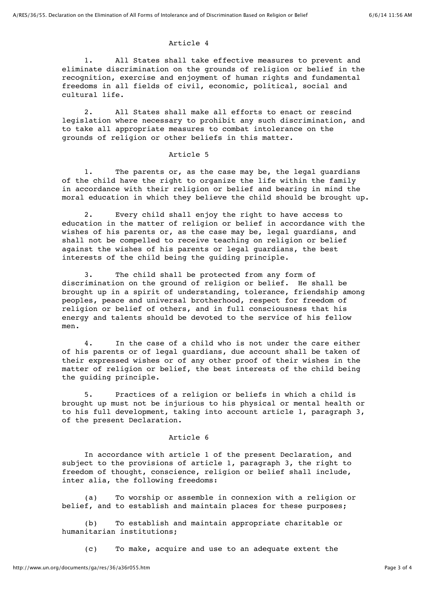#### Article 4

 1. All States shall take effective measures to prevent and eliminate discrimination on the grounds of religion or belief in the recognition, exercise and enjoyment of human rights and fundamental freedoms in all fields of civil, economic, political, social and cultural life.

 2. All States shall make all efforts to enact or rescind legislation where necessary to prohibit any such discrimination, and to take all appropriate measures to combat intolerance on the grounds of religion or other beliefs in this matter.

#### Article 5

 1. The parents or, as the case may be, the legal guardians of the child have the right to organize the life within the family in accordance with their religion or belief and bearing in mind the moral education in which they believe the child should be brought up.

 2. Every child shall enjoy the right to have access to education in the matter of religion or belief in accordance with the wishes of his parents or, as the case may be, legal guardians, and shall not be compelled to receive teaching on religion or belief against the wishes of his parents or legal guardians, the best interests of the child being the guiding principle.

 3. The child shall be protected from any form of discrimination on the ground of religion or belief. He shall be brought up in a spirit of understanding, tolerance, friendship among peoples, peace and universal brotherhood, respect for freedom of religion or belief of others, and in full consciousness that his energy and talents should be devoted to the service of his fellow men.

 4. In the case of a child who is not under the care either of his parents or of legal guardians, due account shall be taken of their expressed wishes or of any other proof of their wishes in the matter of religion or belief, the best interests of the child being the guiding principle.

 5. Practices of a religion or beliefs in which a child is brought up must not be injurious to his physical or mental health or to his full development, taking into account article 1, paragraph 3, of the present Declaration.

#### Article 6

 In accordance with article 1 of the present Declaration, and subject to the provisions of article 1, paragraph 3, the right to freedom of thought, conscience, religion or belief shall include, inter alia, the following freedoms:

 (a) To worship or assemble in connexion with a religion or belief, and to establish and maintain places for these purposes;

 (b) To establish and maintain appropriate charitable or humanitarian institutions;

(c) To make, acquire and use to an adequate extent the